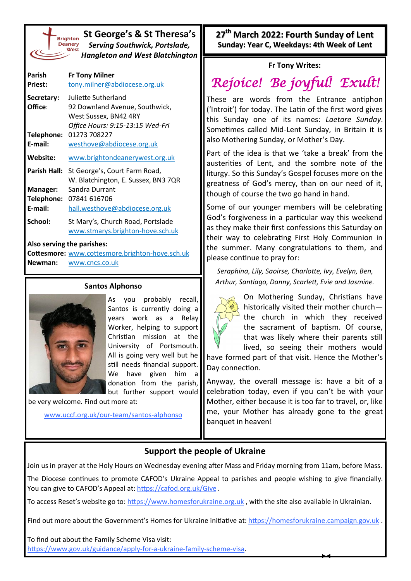| <b>Brighto</b> |
|----------------|
| <b>Deaner</b>  |
| We             |
|                |
|                |

**St George's & St Theresa's** *Serving Southwick, Portslade, Hangleton and West Blatchington*

| Parish<br><b>Priest:</b> | <b>Fr Tony Milner</b><br>tony.milner@abdiocese.org.uk                 |
|--------------------------|-----------------------------------------------------------------------|
| Secretary:               | Juliette Sutherland                                                   |
| Office:                  | 92 Downland Avenue, Southwick,<br>West Sussex, BN42 4RY               |
|                          | Office Hours: 9:15-13:15 Wed-Fri                                      |
| Telephone:               | 01273 708227                                                          |
| E-mail:                  | westhove@abdiocese.org.uk                                             |
| Website:                 | www.brightondeanerywest.org.uk                                        |
| Parish Hall:             | St George's, Court Farm Road,<br>W. Blatchington, E. Sussex, BN3 7QR  |
| Manager:                 | Sandra Durrant                                                        |
| Telephone:               | 07841 616706                                                          |
| E-mail:                  | hall.westhove@abdiocese.org.uk                                        |
| School:                  | St Mary's, Church Road, Portslade<br>www.stmarys.brighton-hove.sch.uk |

#### **Also serving the parishes:**

**Cottesmore:** [www.cottesmore.brighton](http://www.cottesmore.brighton-hove.sch.uk)-hove.sch.uk **Newman:** [www.cncs.co.uk](https://www.cncs.co.uk/)

#### **Santos Alphonso**



As you probably recall, Santos is currently doing a years work as a Relay Worker, helping to support Christian mission at the University of Portsmouth. All is going very well but he still needs financial support. We have given him a donation from the parish, but further support would

be very welcome. Find out more at:

[www.uccf.org.uk/our](http://www.uccf.org.uk/our-team/santos-alphonso)-team/santos-alphonso

**27th March 2022: Fourth Sunday of Lent Sunday: Year C, Weekdays: 4th Week of Lent**

### **Fr Tony Writes:**

# *Rejoice! Be joyful! Exult!*

These are words from the Entrance antiphon ('Introit') for today. The Latin of the first word gives this Sunday one of its names: *Laetare Sunday*. Sometimes called Mid-Lent Sunday, in Britain it is also Mothering Sunday, or Mother's Day.

Part of the idea is that we 'take a break' from the austerities of Lent, and the sombre note of the liturgy. So this Sunday's Gospel focuses more on the greatness of God's mercy, than on our need of it, though of course the two go hand in hand.

Some of our younger members will be celebrating God's forgiveness in a particular way this weekend as they make their first confessions this Saturday on their way to celebrating First Holy Communion in the summer. Many congratulations to them, and please continue to pray for:

*Seraphina, Lily, Saoirse, Charlotte, Ivy, Evelyn, Ben, Arthur, Santiago, Danny, Scarlett, Evie and Jasmine.*



On Mothering Sunday, Christians have historically visited their mother church the church in which they received the sacrament of baptism. Of course, that was likely where their parents still lived, so seeing their mothers would

have formed part of that visit. Hence the Mother's Day connection.

Anyway, the overall message is: have a bit of a celebration today, even if you can't be with your Mother, either because it is too far to travel, or, like me, your Mother has already gone to the great banquet in heaven!

## **Support the people of Ukraine**

Join us in prayer at the Holy Hours on Wednesday evening after Mass and Friday morning from 11am, before Mass.

The Diocese continues to promote CAFOD's Ukraine Appeal to parishes and people wishing to give financially. You can give to CAFOD's Appeal at: <https://cafod.org.uk/Give>.

To access Reset's website go to: <https://www.homesforukraine.org.uk>, with the site also available in Ukrainian.

Find out more about the Government's Homes for Ukraine initiative at: <https://homesforukraine.campaign.gov.uk> .

To find out about the Family Scheme Visa visit: [https://www.gov.uk/guidance/apply](https://www.gov.uk/guidance/apply-for-a-ukraine-family-scheme-visa)-for-a-ukraine-family-scheme-visa.